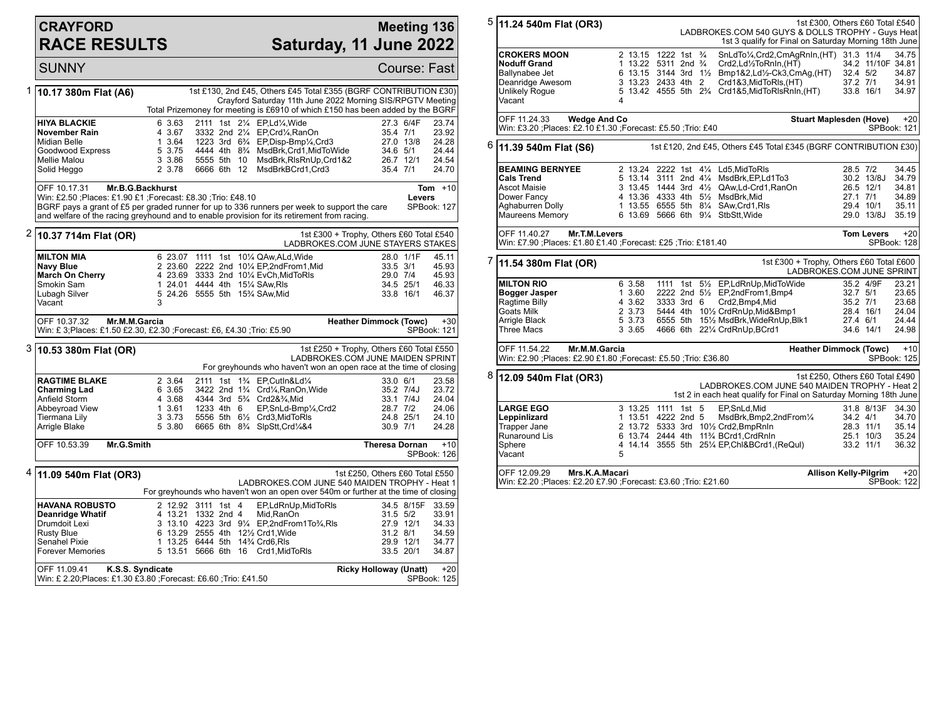## **CRAYFORD RACE RESULTS**

## **Meeting 136 Saturday, 11 June 2022**

SUNNY Course: Fast 1 **10.17 380m Flat (A6)** 1st £130, 2nd £45, Others £45 Total £355 (BGRF CONTRIBUTION £30) Crayford Saturday 11th June 2022 Morning SIS/RPGTV Meeting Total Prizemoney for meeting is £6910 of which £150 has been added by the BGRF **HIYA BLACKIE** 6 3.63 2111 1st 2<sup>1</sup>/<sub>4</sub> EP,Ld<sup>1</sup>/<sub>4</sub>,Wide 27.3 6/4F 23.74<br> **November Rain** 4 3.67 3332 2nd 2<sup>1</sup>/<sub>4</sub> EP,Crd<sup>1</sup>/<sub>4</sub>,RanOn 35.4 7/1 23.92 **November Rain** 4 3.67 3332 2nd 2<sup>1</sup>/<sub>4</sub> EP,Crd<sup>1</sup>/<sub>4</sub>,RanOn 35.4 7/1 23.92<br>Midian Belle 1 3.64 1223 3rd 6<sup>3</sup>/<sub>4</sub> EP,Disp-Bmp<sup>1</sup>/4,Crd3 27.0 13/8 24.28 Midian Belle 1 3.64 1223 3rd 6¾ EP,Disp-Bmp¼,Crd3 27.0 13/8 24.28<br>Goodwood Express 5 3.75 4444 4th 8¾ MsdBrk.Crd1.MidToWide 34.6 5/1 24.44 Goodwood Express 5 3.75 4444 4th 8¾ MsdBrk,Crd1,MidToWide 34.6 5/1 24.44 Mellie Malou 3 3.86 5555 5th 10 MsdBrk,RlsRnUp,Crd1&2 26.7 12/1 24.54<br>Solid Heggo 2 3.78 6666 6th 12 MsdBrkBCrd1,Crd3 35.4 7/1 24.70 6666 6th 12 MsdBrkBCrd1,Crd3 OFF 10.17.31 **Mr.B.G.Backhurst** Win: £2.50 ;Places: £1.90 £1 ;Forecast: £8.30 ;Trio: £48.10 BGRF pays a grant of £5 per graded runner for up to 336 runners per week to support the care and welfare of the racing greyhound and to enable provision for its retirement from racing. **Tom** +10 **Levers** SPBook: 127 2 **10.37 714m Flat (OR)** 1st £300 + Trophy, Others £60 Total £540 LADBROKES.COM JUNE STAYERS STAKES **MILTON MIA** 6 23.07 1111 1st 10¼ QAw,ALd,Wide 28.0 1/1F 45.11<br> **Navy Blue** 2 23.60 2222 2nd 10¼ EP.2ndFrom1.Mid 33.5 3/1 45.93 **Navy Blue** 2 23.60 2222 2nd 10¼ EP,2ndFrom1,Mid 33.5 3/1<br>**March On Cherry** 4 23.69 3333 2nd 10¼ EvCh,MidToRIs 29.0 7/4 **March On Cherry 1 23.69 3333 2nd 10¼ EvCh,MidToRls 29.0 7/4 45.93**<br>Smokin Sam 24.01 4444 4th 15¼ SAw.Rls 34.5 25/1 46.33 Smokin Sam 1 24.01 4444 4th 15¼ SAw,Rls 34.5 25/1 46.33 5 24.26 5555 5th 15<sup>3</sup>/<sub>4</sub> SAw, Mid 3 Vacant OFF 10.37.32 **Mr.M.M.Garcia** Win: £ 3;Places: £1.50 £2.30, £2.30 ;Forecast: £6, £4.30 ;Trio: £5.90 **Heather Dimmock (Towc)** +30 SPBook: 121 3 **10.53 380m Flat (OR)** 1st £250 + Trophy, Others £60 Total £550 LADBROKES.COM JUNE MAIDEN SPRINT For greyhounds who haven't won an open race at the time of closing **RAGTIME BLAKE** 2 3.64 2111 1st 1<sup>3</sup>/<sub>4</sub> EP,Cutln&Ld<sup>1</sup>/<sub>4</sub> 33.0 6/1 23.58<br> **Charming Lad** 6 3.65 3422 2nd 1<sup>3</sup>/<sub>4</sub> Crd<sup>1</sup>/<sub>4</sub>,RanOn,Wide 35.2 7/4J 23.72 **Charming Lad** 6 3.65 3422 2nd 1<sup>3</sup>/<sub>4</sub> Crd<sup>1</sup>/<sub>4</sub>,RanOn,Wide 35.2 7/4J 23.72<br>
Anfield Storm 4 3.68 4344 3rd 5<sup>3</sup>/<sub>4</sub> Crd2&<sup>3</sup>/<sub>4</sub> Mid 33.1 7/4J 24.04 Anfield Storm 4 3.68 4344 3rd 5<sup>3</sup>/<sub>4</sub> Crd2&¾,Mid 33.1 7/4J 24.04<br>Abbeyroad View 1 3.61 1233 4th 6 EP,SnLd-Bmp¼,Crd2 28.7 7/2 24.06 Abbeyroad View 1 3.61 1233 4th 6 EP,SnLd-Bmp¼,Crd2 28.7 7/2 24.06 Tiermana Lily 3 3.73 5556 5th 6½ Crd3,MidToRls 24.8 25/1 24.10 6665 6th 8<sup>3</sup>/<sub>4</sub> SlpStt,Crd<sup>1</sup>/<sub>4</sub>&4 OFF 10.53.39 **Mr.G.Smith Theresa Dornan** +10 SPBook: 126 4 **11.09 540m Flat (OR3)** 1st £250, Others £60 Total £550 LADBROKES.COM JUNE 540 MAIDEN TROPHY - Heat 1 For greyhounds who haven't won an open over 540m or further at the time of closing **HAVANA ROBUSTO** 2 12.92 3111 1st 4 EP,LdRnUp,MidToRls 34.5 8/15F 33.59 **Deanridge Whatif** 4 13.21 1332 2nd 4 Mid,RanOn 31.5 5/2 33.91 Drumdoit Lexi 3 13.10 4223 3rd 9¼ EP,2ndFrom1To¾,Rls 27.9 12/1 34.33 Rusty Blue 6 13.29 2555 4th 12½ Crd1, Wide 31.2 8/1 34.59<br>1 34.77 Senahel Pixie 31.2 8 13.25 6444 5th 14¾ Crd6.Rls

Senahel Pixie 1 13.25 6444 5th 14¾ Crd6,Rls 29.9 12/1 34.77 5 13.51 5666 6th 16 Crd1, MidToRls OFF 11.09.41 **K.S.S. Syndicate** Win: £ 2.20;Places: £1.30 £3.80 ;Forecast: £6.60 ;Trio: £41.50 **Ricky Holloway (Unatt)** +20 SPBook: 125

| 5 | 1st £300, Others £60 Total £540<br>11.24 540m Flat (OR3)<br>LADBROKES.COM 540 GUYS & DOLLS TROPHY - Guys Heat<br>1st 3 qualify for Final on Saturday Morning 18th June |         |                      |  |            |  |                                                                                                                     |                                 |                   |                                  |  |  |
|---|------------------------------------------------------------------------------------------------------------------------------------------------------------------------|---------|----------------------|--|------------|--|---------------------------------------------------------------------------------------------------------------------|---------------------------------|-------------------|----------------------------------|--|--|
|   | 2 13.15 1222 1st 3/4                                                                                                                                                   |         |                      |  |            |  |                                                                                                                     |                                 |                   |                                  |  |  |
|   | <b>CROKERS MOON</b>                                                                                                                                                    |         |                      |  |            |  | SnLdTo1/4,Crd2,CmAqRnIn,(HT) 31.3 11/4<br>Crd2,Ld1/2ToRnIn,(HT)                                                     |                                 | 34.2 11/10F 34.81 | 34.75                            |  |  |
|   | Noduff Grand<br>Ballynabee Jet                                                                                                                                         |         | 1 13.22 5311 2nd 3/4 |  |            |  | 6 13.15 3144 3rd 11/2 Bmp1&2,Ld1/2-Ck3,CmAg,(HT) 32.4 5/2                                                           |                                 |                   | 34.87                            |  |  |
|   | Deanridge Awesom                                                                                                                                                       |         | 3 13.23 2433 4th 2   |  |            |  | Crd1&3,MidToRIs,(HT)                                                                                                | 37.2 7/1                        |                   | 34.91                            |  |  |
|   | <b>Unlikely Roque</b>                                                                                                                                                  |         |                      |  |            |  | 5 13.42 4555 5th 2 <sup>3</sup> / <sub>4</sub> Crd1&5,MidToRIsRnIn, (HT)                                            |                                 | 33.8 16/1         | 34.97                            |  |  |
|   | Vacant                                                                                                                                                                 | 4       |                      |  |            |  |                                                                                                                     |                                 |                   |                                  |  |  |
|   | OFF 11.24.33<br><b>Wedge And Co</b><br><b>Stuart Maplesden (Hove)</b><br>Win: £3.20 ; Places: £2.10 £1.30 ; Forecast: £5.50 ; Trio: £40                                |         |                      |  |            |  |                                                                                                                     |                                 |                   | $+20$<br>SPBook: 121             |  |  |
|   | $6$ 11.39 540m Flat (S6)<br>1st £120, 2nd £45, Others £45 Total £345 (BGRF CONTRIBUTION £30)                                                                           |         |                      |  |            |  |                                                                                                                     |                                 |                   |                                  |  |  |
|   | <b>BEAMING BERNYEE</b>                                                                                                                                                 |         |                      |  |            |  | 2 13.24 2222 1st 41/4 Ld5.MidToRIs                                                                                  | 28.5 7/2                        |                   | 34.45                            |  |  |
|   | <b>Cals Trend</b>                                                                                                                                                      |         |                      |  |            |  | 5 13.14 3111 2nd 41/4 MsdBrk, EP, Ld1To3                                                                            |                                 | 30.2 13/8J        | 34.79                            |  |  |
|   | <b>Ascot Maisie</b>                                                                                                                                                    |         |                      |  |            |  | 3 13.45 1444 3rd 41/2 QAw, Ld-Crd1, RanOn                                                                           |                                 | 26.5 12/1         | 34.81                            |  |  |
|   | Dower Fancy                                                                                                                                                            |         |                      |  |            |  | 4 13.36 4333 4th 51/2 MsdBrk.Mid                                                                                    | 27.1 7/1                        |                   | 34.89                            |  |  |
|   | Aghaburren Dolly                                                                                                                                                       |         |                      |  |            |  | 1 13.55 6555 5th 81/4 SAw, Crd1, RIs                                                                                |                                 | 29.4 10/1         | 35.11                            |  |  |
|   | Maureens Memory                                                                                                                                                        |         |                      |  |            |  | 6 13.69 5666 6th 91/4 StbStt. Wide                                                                                  |                                 | 29.0 13/8J        | 35.19                            |  |  |
|   | OFF 11.40.27<br>Mr.T.M.Levers<br>Win: £7.90 ; Places: £1.80 £1.40 ; Forecast: £25 ; Trio: £181.40                                                                      |         |                      |  |            |  |                                                                                                                     |                                 | <b>Tom Levers</b> | $+20$<br>SPBook: 128             |  |  |
|   | 7<br>1st £300 + Trophy, Others £60 Total £600<br>11.54 380m Flat (OR)<br>LADBROKES.COM JUNE SPRINT                                                                     |         |                      |  |            |  |                                                                                                                     |                                 |                   |                                  |  |  |
|   |                                                                                                                                                                        |         |                      |  |            |  |                                                                                                                     |                                 |                   |                                  |  |  |
|   | <b>MILTON RIO</b>                                                                                                                                                      | 6 3.58  |                      |  |            |  | 1111 1st 51/2 EP,LdRnUp,MidToWide                                                                                   |                                 | 35.2 4/9F         | 23.21                            |  |  |
|   | Bogger Jasper                                                                                                                                                          | 1, 3.60 |                      |  |            |  | 2222 2nd 51/2 EP, 2nd From 1, Bmp4                                                                                  | 32.7 5/1                        |                   | 23.65                            |  |  |
|   | Ragtime Billy                                                                                                                                                          | 4 3.62  |                      |  | 3333 3rd 6 |  | Crd2, Bmp4, Mid                                                                                                     | 35.2 7/1                        |                   | 23.68                            |  |  |
|   | Goats Milk                                                                                                                                                             | 2 3.73  |                      |  |            |  | 5444 4th 101/2 CrdRnUp, Mid&Bmp1                                                                                    |                                 | 28.4 16/1         |                                  |  |  |
|   | Arrigle Black                                                                                                                                                          | 5 3.73  |                      |  |            |  | 6555 5th 151/2 MsdBrk, WideRnUp, Blk1                                                                               | 27.4 6/1                        |                   | 24.04<br>24.44                   |  |  |
|   | <b>Three Macs</b>                                                                                                                                                      | 3 3.65  |                      |  |            |  | 4666 6th 221/4 CrdRnUp, BCrd1                                                                                       |                                 | 34.6 14/1         | 24.98                            |  |  |
|   | OFF 11.54.22<br>Mr.M.M.Garcia<br>Win: £2.90 ; Places: £2.90 £1.80 ; Forecast: £5.50 ; Trio: £36.80                                                                     |         |                      |  |            |  |                                                                                                                     | <b>Heather Dimmock (Towc)</b>   |                   |                                  |  |  |
|   |                                                                                                                                                                        |         |                      |  |            |  |                                                                                                                     |                                 |                   |                                  |  |  |
| 8 | 12.09 540m Flat (OR3)                                                                                                                                                  |         |                      |  |            |  | LADBROKES.COM JUNE 540 MAIDEN TROPHY - Heat 2<br>1st 2 in each heat qualify for Final on Saturday Morning 18th June | 1st £250, Others £60 Total £490 |                   |                                  |  |  |
|   | <b>LARGE EGO</b>                                                                                                                                                       |         | 3 13.25 1111 1st 5   |  |            |  | EP,SnLd,Mid                                                                                                         |                                 | 31.8 8/13F        | 34.30                            |  |  |
|   | Leppinlizard                                                                                                                                                           |         | 1 13.51 4222 2nd 5   |  |            |  | MsdBrk,Bmp2,2ndFrom1/4                                                                                              | 34.2 4/1                        |                   |                                  |  |  |
|   | <b>Trapper Jane</b>                                                                                                                                                    |         |                      |  |            |  | 2 13.72 5333 3rd 101/2 Crd2.BmpRnIn                                                                                 | 28.3 11/1                       |                   |                                  |  |  |
|   | Runaround Lis                                                                                                                                                          |         |                      |  |            |  | 6 13.74 2444 4th 11% BCrd1, CrdRnIn                                                                                 |                                 | 25.1 10/3         |                                  |  |  |
|   | Sphere                                                                                                                                                                 |         |                      |  |            |  | 4 14.14 3555 5th 251/4 EP, Chl&BCrd1, (ReQul)                                                                       | 33.2 11/1                       |                   | 34.70<br>35.14<br>35.24<br>36.32 |  |  |
|   | Vacant                                                                                                                                                                 | 5       |                      |  |            |  |                                                                                                                     |                                 |                   | $+10$<br>SPBook: 125             |  |  |